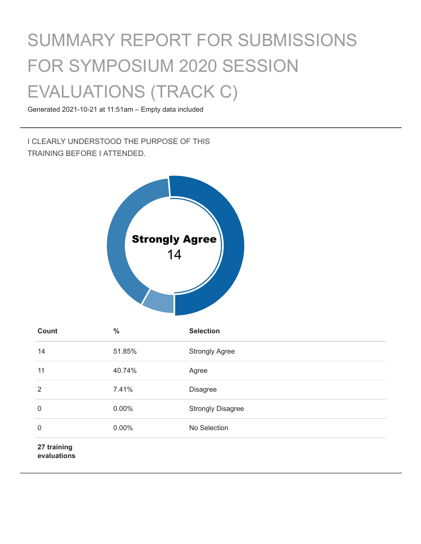# SUMMARY REPORT FOR SUBMISSIONS FOR SYMPOSIUM 2020 SESSION EVALUATIONS (TRACK C)

Generated 2021-10-21 at 11:51am – Empty data included

I CLEARLY UNDERSTOOD THE PURPOSE OF THIS TRAINING BEFORE I ATTENDED.



| Count                      | $\frac{0}{0}$ | <b>Selection</b>         |
|----------------------------|---------------|--------------------------|
| 14                         | 51.85%        | <b>Strongly Agree</b>    |
| 11                         | 40.74%        | Agree                    |
| 2                          | 7.41%         | <b>Disagree</b>          |
| $\mathbf 0$                | 0.00%         | <b>Strongly Disagree</b> |
| $\mathbf 0$                | 0.00%         | No Selection             |
| 27 training<br>evaluations |               |                          |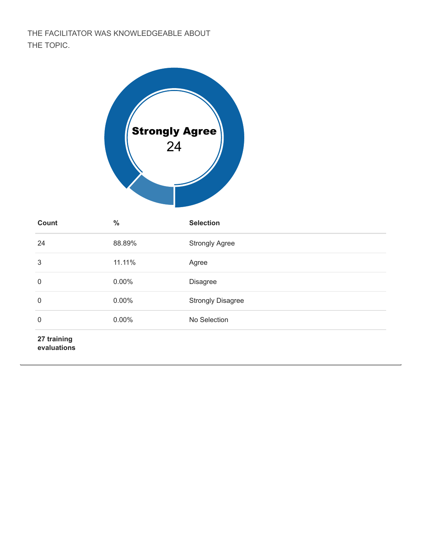THE FACILITATOR WAS KNOWLEDGEABLE ABOUT THE TOPIC.



| <b>Count</b>               | $\frac{0}{0}$ | <b>Selection</b>         |
|----------------------------|---------------|--------------------------|
| 24                         | 88.89%        | <b>Strongly Agree</b>    |
| 3                          | 11.11%        | Agree                    |
| 0                          | 0.00%         | <b>Disagree</b>          |
| 0                          | 0.00%         | <b>Strongly Disagree</b> |
| $\mathbf 0$                | 0.00%         | No Selection             |
| 27 training<br>evaluations |               |                          |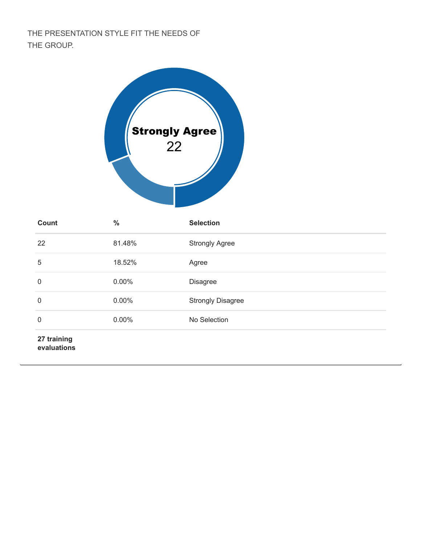## THE PRESENTATION STYLE FIT THE NEEDS OF THE GROUP.



| Count                      | $\frac{0}{0}$ | <b>Selection</b>         |
|----------------------------|---------------|--------------------------|
| 22                         | 81.48%        | <b>Strongly Agree</b>    |
| 5                          | 18.52%        | Agree                    |
| 0                          | 0.00%         | <b>Disagree</b>          |
| 0                          | 0.00%         | <b>Strongly Disagree</b> |
| $\mathbf 0$                | 0.00%         | No Selection             |
| 27 training<br>evaluations |               |                          |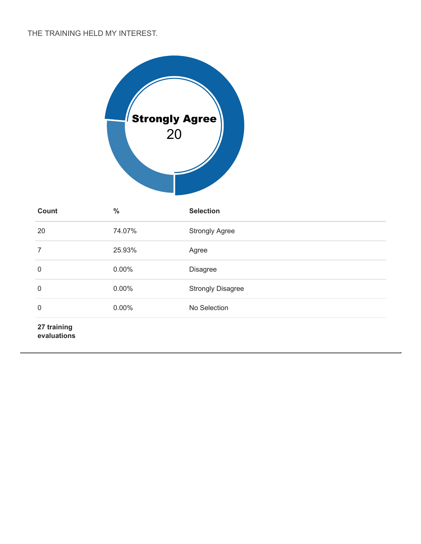### THE TRAINING HELD MY INTEREST.



| Count       | $\frac{0}{0}$ | <b>Selection</b>         |
|-------------|---------------|--------------------------|
| 20          | 74.07%        | <b>Strongly Agree</b>    |
| 7           | 25.93%        | Agree                    |
| 0           | 0.00%         | <b>Disagree</b>          |
| 0           | 0.00%         | <b>Strongly Disagree</b> |
| 0           | 0.00%         | No Selection             |
| 27 training |               |                          |

**evaluations**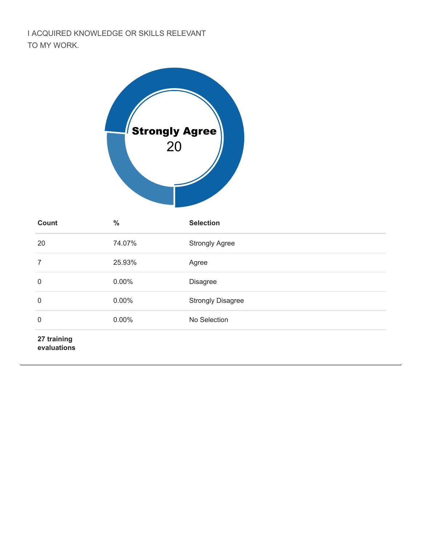## I ACQUIRED KNOWLEDGE OR SKILLS RELEVANT TO MY WORK.



| <b>Count</b>               | $\frac{0}{0}$ | <b>Selection</b>         |
|----------------------------|---------------|--------------------------|
| 20                         | 74.07%        | <b>Strongly Agree</b>    |
| 7                          | 25.93%        | Agree                    |
| 0                          | 0.00%         | <b>Disagree</b>          |
| $\mathbf 0$                | 0.00%         | <b>Strongly Disagree</b> |
| $\mathbf 0$                | 0.00%         | No Selection             |
| 27 training<br>evaluations |               |                          |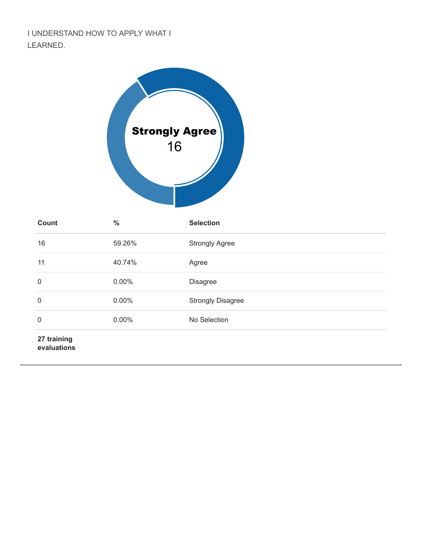## I UNDERSTAND HOW TO APPLY WHAT I LEARNED.



| <b>Count</b>               | $\frac{0}{0}$ | <b>Selection</b>         |
|----------------------------|---------------|--------------------------|
| 16                         | 59.26%        | <b>Strongly Agree</b>    |
| 11                         | 40.74%        | Agree                    |
| $\mathbf 0$                | 0.00%         | <b>Disagree</b>          |
| $\mathbf 0$                | $0.00\%$      | <b>Strongly Disagree</b> |
| $\mathbf 0$                | 0.00%         | No Selection             |
| 27 training<br>evaluations |               |                          |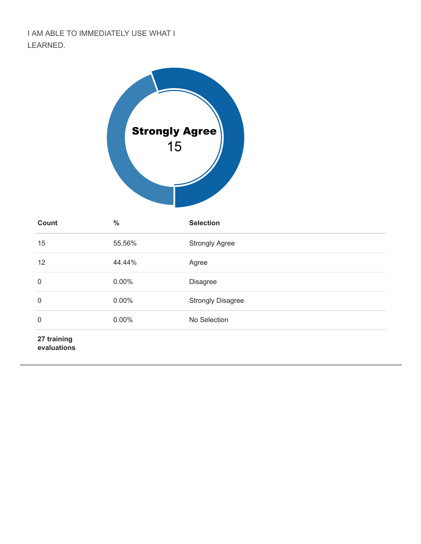## I AM ABLE TO IMMEDIATELY USE WHAT I LEARNED.



| <b>Count</b>               | $\frac{0}{0}$ | <b>Selection</b>         |
|----------------------------|---------------|--------------------------|
| 15                         | 55.56%        | <b>Strongly Agree</b>    |
| 12                         | 44.44%        | Agree                    |
| 0                          | 0.00%         | Disagree                 |
| $\mathbf 0$                | $0.00\%$      | <b>Strongly Disagree</b> |
| $\boldsymbol{0}$           | 0.00%         | No Selection             |
| 27 training<br>evaluations |               |                          |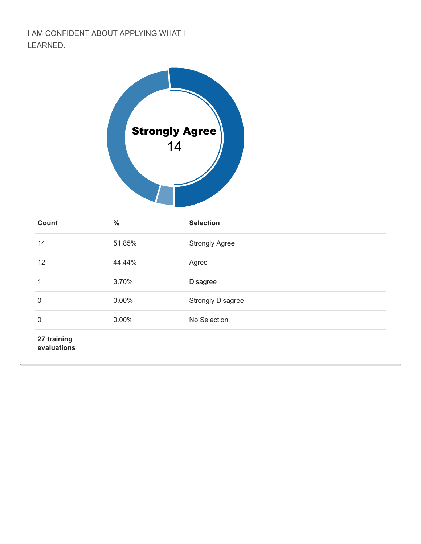I AM CONFIDENT ABOUT APPLYING WHAT I LEARNED.



| <b>Count</b>               | $\frac{0}{0}$ | <b>Selection</b>         |
|----------------------------|---------------|--------------------------|
| 14                         | 51.85%        | <b>Strongly Agree</b>    |
| 12                         | 44.44%        | Agree                    |
| 1                          | 3.70%         | Disagree                 |
| 0                          | 0.00%         | <b>Strongly Disagree</b> |
| $\mathbf 0$                | 0.00%         | No Selection             |
| 27 training<br>evaluations |               |                          |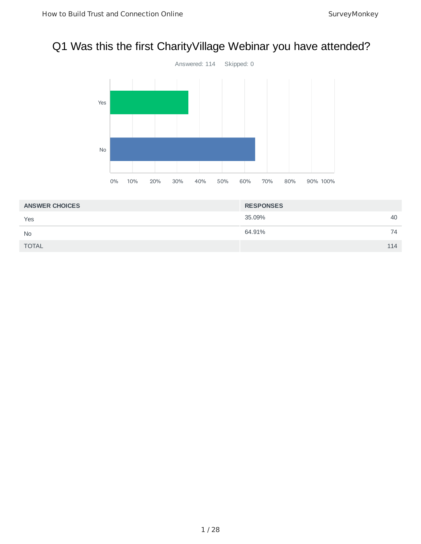## Q1 Was this the first CharityVillage Webinar you have attended?



| <b>ANSWER CHOICES</b> | <b>RESPONSES</b> |     |
|-----------------------|------------------|-----|
| Yes                   | 35.09%           | 40  |
| <b>No</b>             | 64.91%           | 74  |
| <b>TOTAL</b>          |                  | 114 |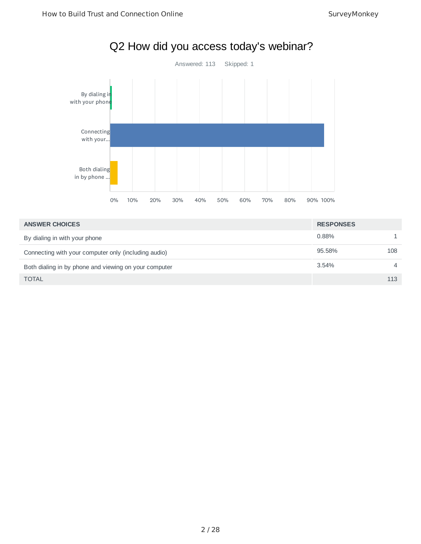

| <b>ANSWER CHOICES</b>                                 | <b>RESPONSES</b> |     |
|-------------------------------------------------------|------------------|-----|
| By dialing in with your phone                         | 0.88%            |     |
| Connecting with your computer only (including audio)  | 95.58%           | 108 |
| Both dialing in by phone and viewing on your computer | 3.54%            | 4   |
| <b>TOTAL</b>                                          |                  | 113 |

## Q2 How did you access today's webinar?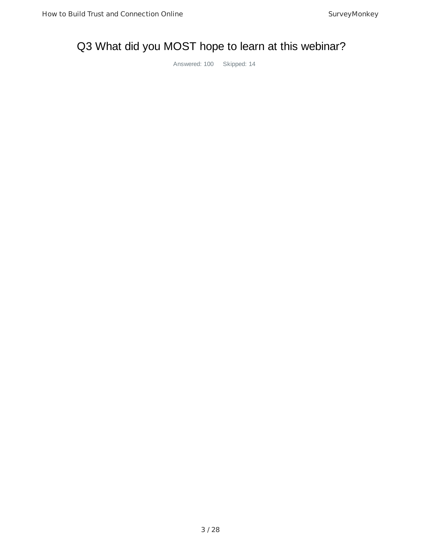## Q3 What did you MOST hope to learn at this webinar?

Answered: 100 Skipped: 14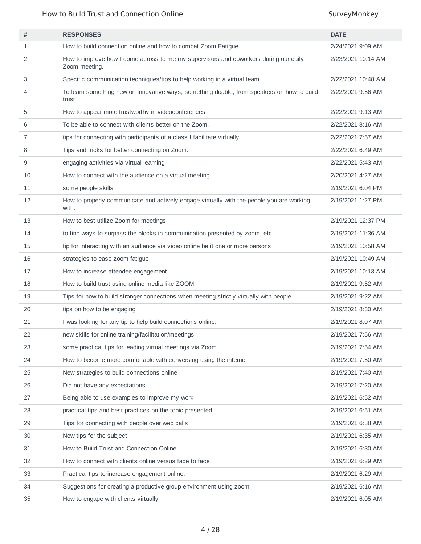How to Build Trust and Connection Online SurveyMonkey

| #  | <b>RESPONSES</b>                                                                                      | <b>DATE</b>        |
|----|-------------------------------------------------------------------------------------------------------|--------------------|
| 1  | How to build connection online and how to combat Zoom Fatigue                                         | 2/24/2021 9:09 AM  |
| 2  | How to improve how I come across to me my supervisors and coworkers during our daily<br>Zoom meeting. | 2/23/2021 10:14 AM |
| 3  | Specific communication techniques/tips to help working in a virtual team.                             | 2/22/2021 10:48 AM |
| 4  | To learn something new on innovative ways, something doable, from speakers on how to build<br>trust   | 2/22/2021 9:56 AM  |
| 5  | How to appear more trustworthy in videoconferences                                                    | 2/22/2021 9:13 AM  |
| 6  | To be able to connect with clients better on the Zoom.                                                | 2/22/2021 8:16 AM  |
| 7  | tips for connecting with participants of a class I facilitate virtually                               | 2/22/2021 7:57 AM  |
| 8  | Tips and tricks for better connecting on Zoom.                                                        | 2/22/2021 6:49 AM  |
| 9  | engaging activities via virtual learning                                                              | 2/22/2021 5:43 AM  |
| 10 | How to connect with the audience on a virtual meeting.                                                | 2/20/2021 4:27 AM  |
| 11 | some people skills                                                                                    | 2/19/2021 6:04 PM  |
| 12 | How to properly communicate and actively engage virtually with the people you are working<br>with.    | 2/19/2021 1:27 PM  |
| 13 | How to best utilize Zoom for meetings                                                                 | 2/19/2021 12:37 PM |
| 14 | to find ways to surpass the blocks in communication presented by zoom, etc.                           | 2/19/2021 11:36 AM |
| 15 | tip for interacting with an audience via video online be it one or more persons                       | 2/19/2021 10:58 AM |
| 16 | strategies to ease zoom fatigue                                                                       | 2/19/2021 10:49 AM |
| 17 | How to increase attendee engagement                                                                   | 2/19/2021 10:13 AM |
| 18 | How to build trust using online media like ZOOM                                                       | 2/19/2021 9:52 AM  |
| 19 | Tips for how to build stronger connections when meeting strictly virtually with people.               | 2/19/2021 9:22 AM  |
| 20 | tips on how to be engaging                                                                            | 2/19/2021 8:30 AM  |
| 21 | I was looking for any tip to help build connections online.                                           | 2/19/2021 8:07 AM  |
| 22 | new skills for online training/facilitation/meetings                                                  | 2/19/2021 7:56 AM  |
| 23 | some practical tips for leading virtual meetings via Zoom                                             | 2/19/2021 7:54 AM  |
| 24 | How to become more comfortable with conversing using the internet.                                    | 2/19/2021 7:50 AM  |
| 25 | New strategies to build connections online                                                            | 2/19/2021 7:40 AM  |
| 26 | Did not have any expectations                                                                         | 2/19/2021 7:20 AM  |
| 27 | Being able to use examples to improve my work                                                         | 2/19/2021 6:52 AM  |
| 28 | practical tips and best practices on the topic presented                                              | 2/19/2021 6:51 AM  |
| 29 | Tips for connecting with people over web calls                                                        | 2/19/2021 6:38 AM  |
| 30 | New tips for the subject                                                                              | 2/19/2021 6:35 AM  |
| 31 | How to Build Trust and Connection Online                                                              | 2/19/2021 6:30 AM  |
| 32 | How to connect with clients online versus face to face                                                | 2/19/2021 6:29 AM  |
| 33 | Practical tips to increase engagement online.                                                         | 2/19/2021 6:29 AM  |
| 34 | Suggestions for creating a productive group environment using zoom                                    | 2/19/2021 6:16 AM  |
| 35 | How to engage with clients virtually                                                                  | 2/19/2021 6:05 AM  |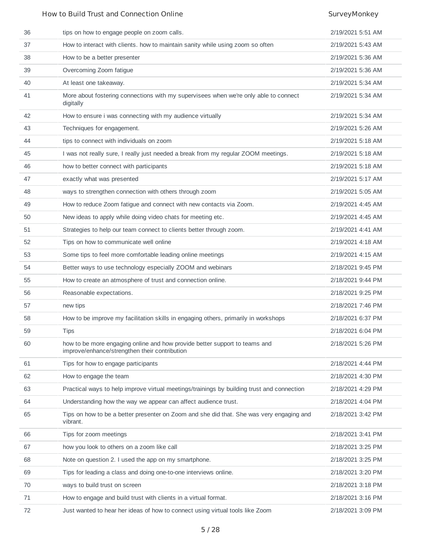## How to Build Trust and Connection Online SurveyMonkey SurveyMonkey

| 36 | tips on how to engage people on zoom calls.                                                                                 | 2/19/2021 5:51 AM |
|----|-----------------------------------------------------------------------------------------------------------------------------|-------------------|
| 37 | How to interact with clients. how to maintain sanity while using zoom so often                                              | 2/19/2021 5:43 AM |
| 38 | How to be a better presenter                                                                                                | 2/19/2021 5:36 AM |
| 39 | Overcoming Zoom fatigue                                                                                                     | 2/19/2021 5:36 AM |
| 40 | At least one takeaway.                                                                                                      | 2/19/2021 5:34 AM |
| 41 | More about fostering connections with my supervisees when we're only able to connect<br>digitally                           | 2/19/2021 5:34 AM |
| 42 | How to ensure i was connecting with my audience virtually                                                                   | 2/19/2021 5:34 AM |
| 43 | Techniques for engagement.                                                                                                  | 2/19/2021 5:26 AM |
| 44 | tips to connect with individuals on zoom                                                                                    | 2/19/2021 5:18 AM |
| 45 | I was not really sure, I really just needed a break from my regular ZOOM meetings.                                          | 2/19/2021 5:18 AM |
| 46 | how to better connect with participants                                                                                     | 2/19/2021 5:18 AM |
| 47 | exactly what was presented                                                                                                  | 2/19/2021 5:17 AM |
| 48 | ways to strengthen connection with others through zoom                                                                      | 2/19/2021 5:05 AM |
| 49 | How to reduce Zoom fatigue and connect with new contacts via Zoom.                                                          | 2/19/2021 4:45 AM |
| 50 | New ideas to apply while doing video chats for meeting etc.                                                                 | 2/19/2021 4:45 AM |
| 51 | Strategies to help our team connect to clients better through zoom.                                                         | 2/19/2021 4:41 AM |
| 52 | Tips on how to communicate well online                                                                                      | 2/19/2021 4:18 AM |
| 53 | Some tips to feel more comfortable leading online meetings                                                                  | 2/19/2021 4:15 AM |
| 54 | Better ways to use technology especially ZOOM and webinars                                                                  | 2/18/2021 9:45 PM |
| 55 | How to create an atmosphere of trust and connection online.                                                                 | 2/18/2021 9:44 PM |
| 56 | Reasonable expectations.                                                                                                    | 2/18/2021 9:25 PM |
| 57 | new tips                                                                                                                    | 2/18/2021 7:46 PM |
| 58 | How to be improve my facilitation skills in engaging others, primarily in workshops                                         | 2/18/2021 6:37 PM |
| 59 | <b>Tips</b>                                                                                                                 | 2/18/2021 6:04 PM |
| 60 | how to be more engaging online and how provide better support to teams and<br>improve/enhance/strengthen their contribution | 2/18/2021 5:26 PM |
| 61 | Tips for how to engage participants                                                                                         | 2/18/2021 4:44 PM |
| 62 | How to engage the team                                                                                                      | 2/18/2021 4:30 PM |
| 63 | Practical ways to help improve virtual meetings/trainings by building trust and connection                                  | 2/18/2021 4:29 PM |
| 64 | Understanding how the way we appear can affect audience trust.                                                              | 2/18/2021 4:04 PM |
| 65 | Tips on how to be a better presenter on Zoom and she did that. She was very engaging and<br>vibrant.                        | 2/18/2021 3:42 PM |
| 66 | Tips for zoom meetings                                                                                                      | 2/18/2021 3:41 PM |
| 67 | how you look to others on a zoom like call                                                                                  | 2/18/2021 3:25 PM |
| 68 | Note on question 2. I used the app on my smartphone.                                                                        | 2/18/2021 3:25 PM |
| 69 | Tips for leading a class and doing one-to-one interviews online.                                                            | 2/18/2021 3:20 PM |
| 70 | ways to build trust on screen                                                                                               | 2/18/2021 3:18 PM |
| 71 | How to engage and build trust with clients in a virtual format.                                                             | 2/18/2021 3:16 PM |
| 72 | Just wanted to hear her ideas of how to connect using virtual tools like Zoom                                               | 2/18/2021 3:09 PM |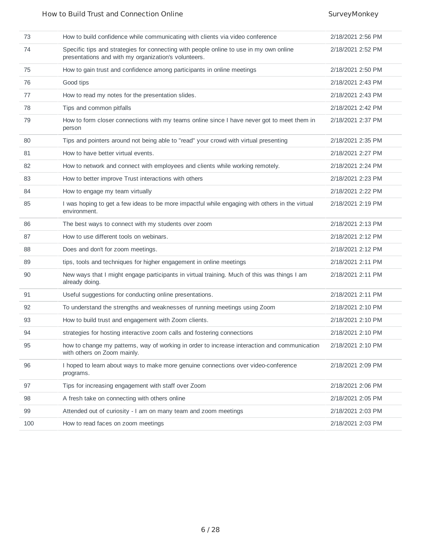| 73  | How to build confidence while communicating with clients via video conference                                                                  | 2/18/2021 2:56 PM |
|-----|------------------------------------------------------------------------------------------------------------------------------------------------|-------------------|
| 74  | Specific tips and strategies for connecting with people online to use in my own online<br>presentations and with my organization's volunteers. | 2/18/2021 2:52 PM |
| 75  | How to gain trust and confidence among participants in online meetings                                                                         | 2/18/2021 2:50 PM |
| 76  | Good tips                                                                                                                                      | 2/18/2021 2:43 PM |
| 77  | How to read my notes for the presentation slides.                                                                                              | 2/18/2021 2:43 PM |
| 78  | Tips and common pitfalls                                                                                                                       | 2/18/2021 2:42 PM |
| 79  | How to form closer connections with my teams online since I have never got to meet them in<br>person                                           | 2/18/2021 2:37 PM |
| 80  | Tips and pointers around not being able to "read" your crowd with virtual presenting                                                           | 2/18/2021 2:35 PM |
| 81  | How to have better virtual events.                                                                                                             | 2/18/2021 2:27 PM |
| 82  | How to network and connect with employees and clients while working remotely.                                                                  | 2/18/2021 2:24 PM |
| 83  | How to better improve Trust interactions with others                                                                                           | 2/18/2021 2:23 PM |
| 84  | How to engage my team virtually                                                                                                                | 2/18/2021 2:22 PM |
| 85  | I was hoping to get a few ideas to be more impactful while engaging with others in the virtual<br>environment.                                 | 2/18/2021 2:19 PM |
| 86  | The best ways to connect with my students over zoom                                                                                            | 2/18/2021 2:13 PM |
| 87  | How to use different tools on webinars.                                                                                                        | 2/18/2021 2:12 PM |
| 88  | Does and don't for zoom meetings.                                                                                                              | 2/18/2021 2:12 PM |
| 89  | tips, tools and techniques for higher engagement in online meetings                                                                            | 2/18/2021 2:11 PM |
| 90  | New ways that I might engage participants in virtual training. Much of this was things I am<br>already doing.                                  | 2/18/2021 2:11 PM |
| 91  | Useful suggestions for conducting online presentations.                                                                                        | 2/18/2021 2:11 PM |
| 92  | To understand the strengths and weaknesses of running meetings using Zoom                                                                      | 2/18/2021 2:10 PM |
| 93  | How to build trust and engagement with Zoom clients.                                                                                           | 2/18/2021 2:10 PM |
| 94  | strategies for hosting interactive zoom calls and fostering connections                                                                        | 2/18/2021 2:10 PM |
| 95  | how to change my patterns, way of working in order to increase interaction and communication<br>with others on Zoom mainly.                    | 2/18/2021 2:10 PM |
| 96  | I hoped to learn about ways to make more genuine connections over video-conference<br>programs.                                                | 2/18/2021 2:09 PM |
| 97  | Tips for increasing engagement with staff over Zoom                                                                                            | 2/18/2021 2:06 PM |
| 98  | A fresh take on connecting with others online                                                                                                  | 2/18/2021 2:05 PM |
| 99  | Attended out of curiosity - I am on many team and zoom meetings                                                                                | 2/18/2021 2:03 PM |
| 100 | How to read faces on zoom meetings                                                                                                             | 2/18/2021 2:03 PM |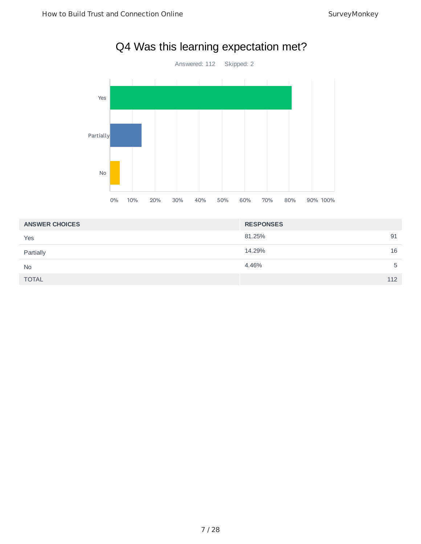

## Q4 Was this learning expectation met?

| <b>ANSWER CHOICES</b> | <b>RESPONSES</b> |     |
|-----------------------|------------------|-----|
| Yes                   | 81.25%           | 91  |
| Partially             | 14.29%           | 16  |
| <b>No</b>             | 4.46%            | 5   |
| <b>TOTAL</b>          |                  | 112 |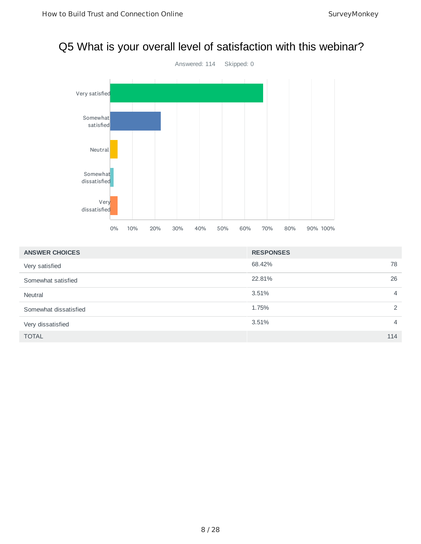## Q5 What is your overall level of satisfaction with this webinar?



| <b>ANSWER CHOICES</b> | <b>RESPONSES</b>        |
|-----------------------|-------------------------|
| Very satisfied        | 78<br>68.42%            |
| Somewhat satisfied    | 26<br>22.81%            |
| <b>Neutral</b>        | 3.51%<br>$\overline{4}$ |
| Somewhat dissatisfied | 1.75%<br>2              |
| Very dissatisfied     | 3.51%<br>$\overline{4}$ |
| <b>TOTAL</b>          | 114                     |

### 8 / 28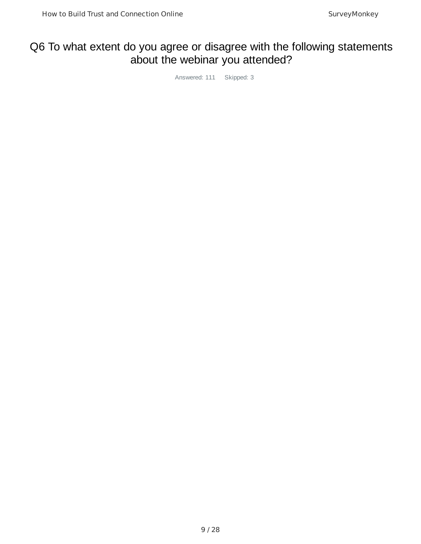## Q6 To what extent do you agree or disagree with the following statements about the webinar you attended?

Answered: 111 Skipped: 3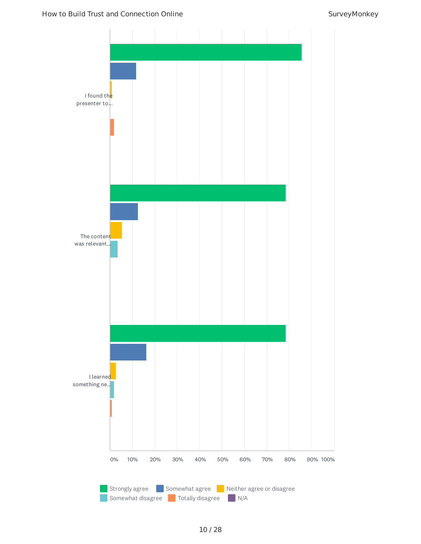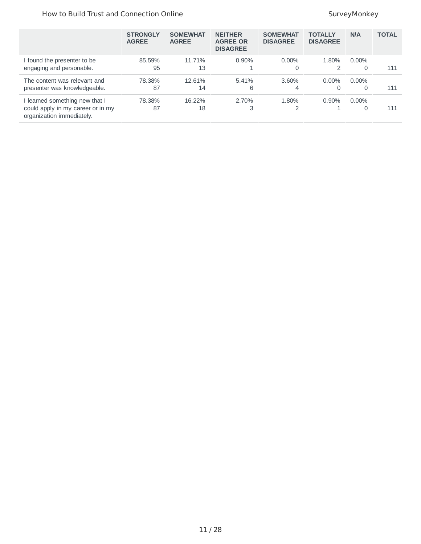## How to Build Trust and Connection Online SurveyMonkey SurveyMonkey

|                                                                                                | <b>STRONGLY</b><br><b>AGREE</b> | <b>SOMEWHAT</b><br><b>AGREE</b> | <b>NEITHER</b><br><b>AGREE OR</b><br><b>DISAGREE</b> | <b>SOMEWHAT</b><br><b>DISAGREE</b> | <b>TOTALLY</b><br><b>DISAGREE</b> | <b>N/A</b>    | <b>TOTAL</b> |
|------------------------------------------------------------------------------------------------|---------------------------------|---------------------------------|------------------------------------------------------|------------------------------------|-----------------------------------|---------------|--------------|
| found the presenter to be<br>engaging and personable.                                          | 85.59%<br>95                    | 11.71%<br>13                    | $0.90\%$                                             | $0.00\%$<br>0                      | 1.80%                             | $0.00\%$<br>0 | 111          |
| The content was relevant and<br>presenter was knowledgeable.                                   | 78.38%<br>87                    | 12.61%<br>14                    | 5.41%<br>6                                           | $3.60\%$<br>4                      | $0.00\%$<br>$\Omega$              | $0.00\%$<br>O | 111          |
| learned something new that I<br>could apply in my career or in my<br>organization immediately. | 78.38%<br>87                    | 16.22%<br>18                    | 2.70%<br>3                                           | 1.80%<br>2                         | $0.90\%$                          | $0.00\%$<br>O | 111          |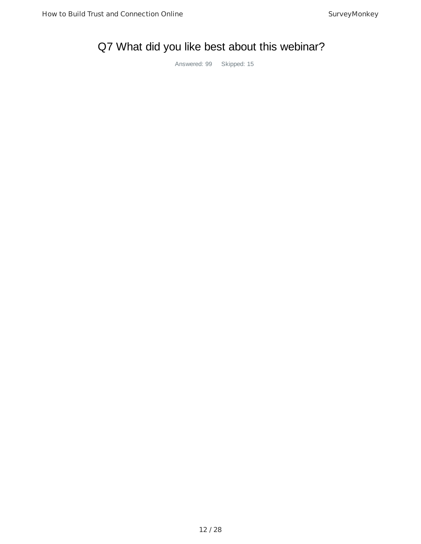## Q7 What did you like best about this webinar?

Answered: 99 Skipped: 15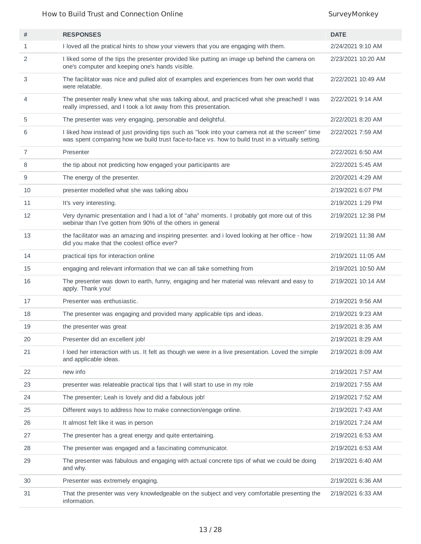## How to Build Trust and Connection Online SurveyMonkey SurveyMonkey

| #              | <b>RESPONSES</b>                                                                                                                                                                                        | <b>DATE</b>        |
|----------------|---------------------------------------------------------------------------------------------------------------------------------------------------------------------------------------------------------|--------------------|
| 1              | I loved all the pratical hints to show your viewers that you are engaging with them.                                                                                                                    | 2/24/2021 9:10 AM  |
| 2              | I liked some of the tips the presenter provided like putting an image up behind the camera on<br>one's computer and keeping one's hands visible.                                                        | 2/23/2021 10:20 AM |
| 3              | The facilitator was nice and pulled alot of examples and experiences from her own world that<br>were relatable.                                                                                         | 2/22/2021 10:49 AM |
| 4              | The presenter really knew what she was talking about, and practiced what she preached! I was<br>really impressed, and I took a lot away from this presentation.                                         | 2/22/2021 9:14 AM  |
| 5              | The presenter was very engaging, personable and delightful.                                                                                                                                             | 2/22/2021 8:20 AM  |
| 6              | I liked how instead of just providing tips such as "look into your camera not at the screen" time<br>was spent comparing how we build trust face-to-face vs. how to build trust in a virtually setting. | 2/22/2021 7:59 AM  |
| $\overline{7}$ | Presenter                                                                                                                                                                                               | 2/22/2021 6:50 AM  |
| 8              | the tip about not predicting how engaged your participants are                                                                                                                                          | 2/22/2021 5:45 AM  |
| 9              | The energy of the presenter.                                                                                                                                                                            | 2/20/2021 4:29 AM  |
| 10             | presenter modelled what she was talking abou                                                                                                                                                            | 2/19/2021 6:07 PM  |
| 11             | It's very interesting.                                                                                                                                                                                  | 2/19/2021 1:29 PM  |
| 12             | Very dynamic presentation and I had a lot of "aha" moments. I probably got more out of this<br>webinar than I've gotten from 90% of the others in general                                               | 2/19/2021 12:38 PM |
| 13             | the facilitator was an amazing and inspiring presenter. and i loved looking at her office - how<br>did you make that the coolest office ever?                                                           | 2/19/2021 11:38 AM |
| 14             | practical tips for interaction online                                                                                                                                                                   | 2/19/2021 11:05 AM |
| 15             | engaging and relevant information that we can all take something from                                                                                                                                   | 2/19/2021 10:50 AM |
| 16             | The presenter was down to earth, funny, engaging and her material was relevant and easy to<br>apply. Thank you!                                                                                         | 2/19/2021 10:14 AM |
| 17             | Presenter was enthusiastic.                                                                                                                                                                             | 2/19/2021 9:56 AM  |
| 18             | The presenter was engaging and provided many applicable tips and ideas.                                                                                                                                 | 2/19/2021 9:23 AM  |
| 19             | the presenter was great                                                                                                                                                                                 | 2/19/2021 8:35 AM  |
| 20             | Presenter did an excellent job!                                                                                                                                                                         | 2/19/2021 8:29 AM  |
| 21             | I loed her interaction with us. It felt as though we were in a live presentation. Loved the simple<br>and applicable ideas.                                                                             | 2/19/2021 8:09 AM  |
| 22             | new info                                                                                                                                                                                                | 2/19/2021 7:57 AM  |
| 23             | presenter was relateable practical tips that I will start to use in my role                                                                                                                             | 2/19/2021 7:55 AM  |
| 24             | The presenter; Leah is lovely and did a fabulous job!                                                                                                                                                   | 2/19/2021 7:52 AM  |
| 25             | Different ways to address how to make connection/engage online.                                                                                                                                         | 2/19/2021 7:43 AM  |
| 26             | It almost felt like it was in person                                                                                                                                                                    | 2/19/2021 7:24 AM  |
| 27             | The presenter has a great energy and quite entertaining.                                                                                                                                                | 2/19/2021 6:53 AM  |
| 28             | The presenter was engaged and a fascinating communicator.                                                                                                                                               | 2/19/2021 6:53 AM  |
| 29             | The presenter was fabulous and engaging with actual concrete tips of what we could be doing<br>and why.                                                                                                 | 2/19/2021 6:40 AM  |
| 30             | Presenter was extremely engaging.                                                                                                                                                                       | 2/19/2021 6:36 AM  |
| 31             | That the presenter was very knowledgeable on the subject and very comfortable presenting the<br>information.                                                                                            | 2/19/2021 6:33 AM  |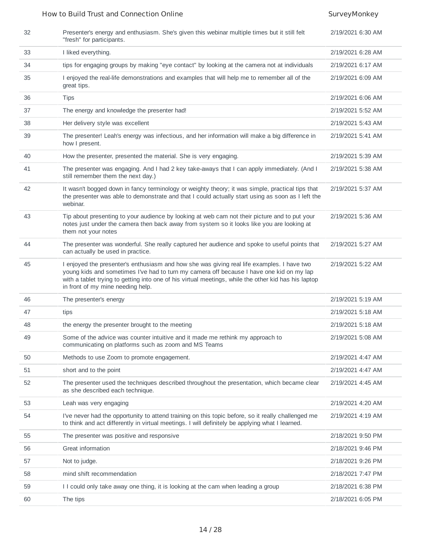## How to Build Trust and Connection Online SurveyMonkey

| 32 | Presenter's energy and enthusiasm. She's given this webinar multiple times but it still felt<br>"fresh" for participants.                                                                                                                                                                                                           | 2/19/2021 6:30 AM |
|----|-------------------------------------------------------------------------------------------------------------------------------------------------------------------------------------------------------------------------------------------------------------------------------------------------------------------------------------|-------------------|
| 33 | I liked everything.                                                                                                                                                                                                                                                                                                                 | 2/19/2021 6:28 AM |
| 34 | tips for engaging groups by making "eye contact" by looking at the camera not at individuals                                                                                                                                                                                                                                        | 2/19/2021 6:17 AM |
| 35 | I enjoyed the real-life demonstrations and examples that will help me to remember all of the<br>great tips.                                                                                                                                                                                                                         | 2/19/2021 6:09 AM |
| 36 | <b>Tips</b>                                                                                                                                                                                                                                                                                                                         | 2/19/2021 6:06 AM |
| 37 | The energy and knowledge the presenter had!                                                                                                                                                                                                                                                                                         | 2/19/2021 5:52 AM |
| 38 | Her delivery style was excellent                                                                                                                                                                                                                                                                                                    | 2/19/2021 5:43 AM |
| 39 | The presenter! Leah's energy was infectious, and her information will make a big difference in<br>how I present.                                                                                                                                                                                                                    | 2/19/2021 5:41 AM |
| 40 | How the presenter, presented the material. She is very engaging.                                                                                                                                                                                                                                                                    | 2/19/2021 5:39 AM |
| 41 | The presenter was engaging. And I had 2 key take-aways that I can apply immediately. (And I<br>still remember them the next day.)                                                                                                                                                                                                   | 2/19/2021 5:38 AM |
| 42 | It wasn't bogged down in fancy terminology or weighty theory; it was simple, practical tips that<br>the presenter was able to demonstrate and that I could actually start using as soon as I left the<br>webinar.                                                                                                                   | 2/19/2021 5:37 AM |
| 43 | Tip about presenting to your audience by looking at web cam not their picture and to put your<br>notes just under the camera then back away from system so it looks like you are looking at<br>them not your notes                                                                                                                  | 2/19/2021 5:36 AM |
| 44 | The presenter was wonderful. She really captured her audience and spoke to useful points that<br>can actually be used in practice.                                                                                                                                                                                                  | 2/19/2021 5:27 AM |
| 45 | I enjoyed the presenter's enthusiasm and how she was giving real life examples. I have two<br>young kids and sometimes I've had to turn my camera off because I have one kid on my lap<br>with a tablet trying to getting into one of his virtual meetings, while the other kid has his laptop<br>in front of my mine needing help. | 2/19/2021 5:22 AM |
| 46 | The presenter's energy                                                                                                                                                                                                                                                                                                              | 2/19/2021 5:19 AM |
| 47 | tips                                                                                                                                                                                                                                                                                                                                | 2/19/2021 5:18 AM |
| 48 | the energy the presenter brought to the meeting                                                                                                                                                                                                                                                                                     | 2/19/2021 5:18 AM |
| 49 | Some of the advice was counter intuitive and it made me rethink my approach to<br>communicating on platforms such as zoom and MS Teams                                                                                                                                                                                              | 2/19/2021 5:08 AM |
| 50 | Methods to use Zoom to promote engagement.                                                                                                                                                                                                                                                                                          | 2/19/2021 4:47 AM |
| 51 | short and to the point                                                                                                                                                                                                                                                                                                              | 2/19/2021 4:47 AM |
| 52 | The presenter used the techniques described throughout the presentation, which became clear<br>as she described each technique.                                                                                                                                                                                                     | 2/19/2021 4:45 AM |
| 53 | Leah was very engaging                                                                                                                                                                                                                                                                                                              | 2/19/2021 4:20 AM |
| 54 | I've never had the opportunity to attend training on this topic before, so it really challenged me<br>to think and act differently in virtual meetings. I will definitely be applying what I learned.                                                                                                                               | 2/19/2021 4:19 AM |
| 55 | The presenter was positive and responsive                                                                                                                                                                                                                                                                                           | 2/18/2021 9:50 PM |
| 56 | Great information                                                                                                                                                                                                                                                                                                                   | 2/18/2021 9:46 PM |
| 57 | Not to judge.                                                                                                                                                                                                                                                                                                                       | 2/18/2021 9:26 PM |
| 58 | mind shift recommendation                                                                                                                                                                                                                                                                                                           | 2/18/2021 7:47 PM |
| 59 | I I could only take away one thing, it is looking at the cam when leading a group                                                                                                                                                                                                                                                   | 2/18/2021 6:38 PM |
| 60 | The tips                                                                                                                                                                                                                                                                                                                            | 2/18/2021 6:05 PM |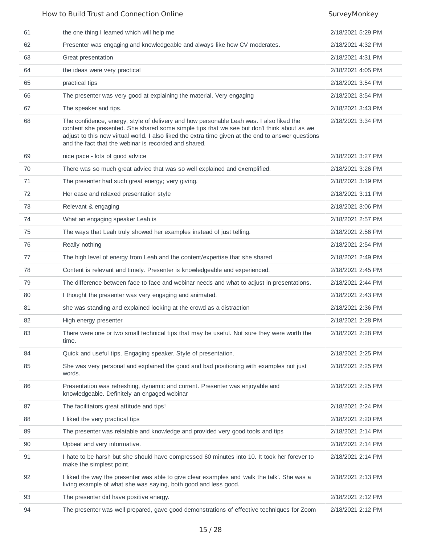## How to Build Trust and Connection Online SurveyMonkey SurveyMonkey

| 61 | the one thing I learned which will help me                                                                                                                                                                                                                                                                                                           | 2/18/2021 5:29 PM |
|----|------------------------------------------------------------------------------------------------------------------------------------------------------------------------------------------------------------------------------------------------------------------------------------------------------------------------------------------------------|-------------------|
| 62 | Presenter was engaging and knowledgeable and always like how CV moderates.                                                                                                                                                                                                                                                                           | 2/18/2021 4:32 PM |
| 63 | Great presentation                                                                                                                                                                                                                                                                                                                                   | 2/18/2021 4:31 PM |
| 64 | the ideas were very practical                                                                                                                                                                                                                                                                                                                        | 2/18/2021 4:05 PM |
| 65 | practical tips                                                                                                                                                                                                                                                                                                                                       | 2/18/2021 3:54 PM |
| 66 | The presenter was very good at explaining the material. Very engaging                                                                                                                                                                                                                                                                                | 2/18/2021 3:54 PM |
| 67 | The speaker and tips.                                                                                                                                                                                                                                                                                                                                | 2/18/2021 3:43 PM |
| 68 | The confidence, energy, style of delivery and how personable Leah was. I also liked the<br>content she presented. She shared some simple tips that we see but don't think about as we<br>adjust to this new virtual world. I also liked the extra time given at the end to answer questions<br>and the fact that the webinar is recorded and shared. | 2/18/2021 3:34 PM |
| 69 | nice pace - lots of good advice                                                                                                                                                                                                                                                                                                                      | 2/18/2021 3:27 PM |
| 70 | There was so much great advice that was so well explained and exemplified.                                                                                                                                                                                                                                                                           | 2/18/2021 3:26 PM |
| 71 | The presenter had such great energy; very giving.                                                                                                                                                                                                                                                                                                    | 2/18/2021 3:19 PM |
| 72 | Her ease and relaxed presentation style                                                                                                                                                                                                                                                                                                              | 2/18/2021 3:11 PM |
| 73 | Relevant & engaging                                                                                                                                                                                                                                                                                                                                  | 2/18/2021 3:06 PM |
| 74 | What an engaging speaker Leah is                                                                                                                                                                                                                                                                                                                     | 2/18/2021 2:57 PM |
| 75 | The ways that Leah truly showed her examples instead of just telling.                                                                                                                                                                                                                                                                                | 2/18/2021 2:56 PM |
| 76 | Really nothing                                                                                                                                                                                                                                                                                                                                       | 2/18/2021 2:54 PM |
| 77 | The high level of energy from Leah and the content/expertise that she shared                                                                                                                                                                                                                                                                         | 2/18/2021 2:49 PM |
| 78 | Content is relevant and timely. Presenter is knowledgeable and experienced.                                                                                                                                                                                                                                                                          | 2/18/2021 2:45 PM |
| 79 | The difference between face to face and webinar needs and what to adjust in presentations.                                                                                                                                                                                                                                                           | 2/18/2021 2:44 PM |
| 80 | I thought the presenter was very engaging and animated.                                                                                                                                                                                                                                                                                              | 2/18/2021 2:43 PM |
| 81 | she was standing and explained looking at the crowd as a distraction                                                                                                                                                                                                                                                                                 | 2/18/2021 2:36 PM |
| 82 | High energy presenter                                                                                                                                                                                                                                                                                                                                | 2/18/2021 2:28 PM |
| 83 | There were one or two small technical tips that may be useful. Not sure they were worth the<br>time.                                                                                                                                                                                                                                                 | 2/18/2021 2:28 PM |
| 84 | Quick and useful tips. Engaging speaker. Style of presentation.                                                                                                                                                                                                                                                                                      | 2/18/2021 2:25 PM |
| 85 | She was very personal and explained the good and bad positioning with examples not just<br>words.                                                                                                                                                                                                                                                    | 2/18/2021 2:25 PM |
| 86 | Presentation was refreshing, dynamic and current. Presenter was enjoyable and<br>knowledgeable. Definitely an engaged webinar                                                                                                                                                                                                                        | 2/18/2021 2:25 PM |
| 87 | The facilitators great attitude and tips!                                                                                                                                                                                                                                                                                                            | 2/18/2021 2:24 PM |
| 88 | I liked the very practical tips                                                                                                                                                                                                                                                                                                                      | 2/18/2021 2:20 PM |
| 89 | The presenter was relatable and knowledge and provided very good tools and tips                                                                                                                                                                                                                                                                      | 2/18/2021 2:14 PM |
| 90 | Upbeat and very informative.                                                                                                                                                                                                                                                                                                                         | 2/18/2021 2:14 PM |
| 91 | I hate to be harsh but she should have compressed 60 minutes into 10. It took her forever to<br>make the simplest point.                                                                                                                                                                                                                             | 2/18/2021 2:14 PM |
| 92 | I liked the way the presenter was able to give clear examples and 'walk the talk'. She was a<br>living example of what she was saying, both good and less good.                                                                                                                                                                                      | 2/18/2021 2:13 PM |
| 93 | The presenter did have positive energy.                                                                                                                                                                                                                                                                                                              | 2/18/2021 2:12 PM |
| 94 | The presenter was well prepared, gave good demonstrations of effective techniques for Zoom                                                                                                                                                                                                                                                           | 2/18/2021 2:12 PM |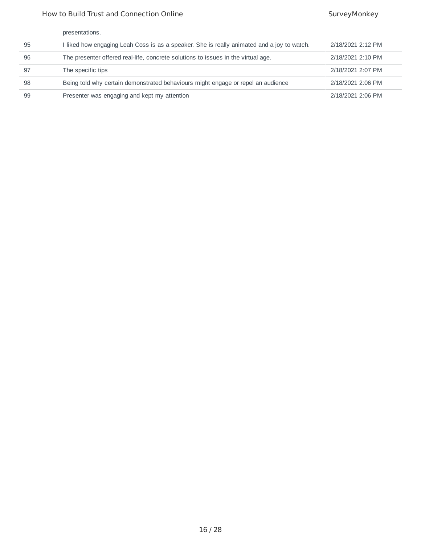## How to Build Trust and Connection Online SurveyMonkey SurveyMonkey

|    | presentations.                                                                             |                   |
|----|--------------------------------------------------------------------------------------------|-------------------|
| 95 | I liked how engaging Leah Coss is as a speaker. She is really animated and a joy to watch. | 2/18/2021 2:12 PM |
| 96 | The presenter offered real-life, concrete solutions to issues in the virtual age.          | 2/18/2021 2:10 PM |
| 97 | The specific tips                                                                          | 2/18/2021 2:07 PM |
| 98 | Being told why certain demonstrated behaviours might engage or repel an audience           | 2/18/2021 2:06 PM |
| 99 | Presenter was engaging and kept my attention                                               | 2/18/2021 2:06 PM |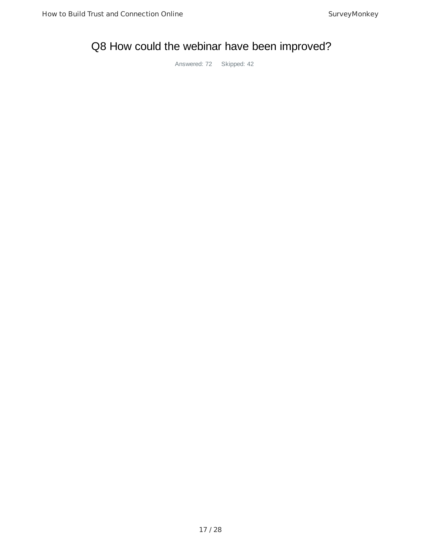## Q8 How could the webinar have been improved?

Answered: 72 Skipped: 42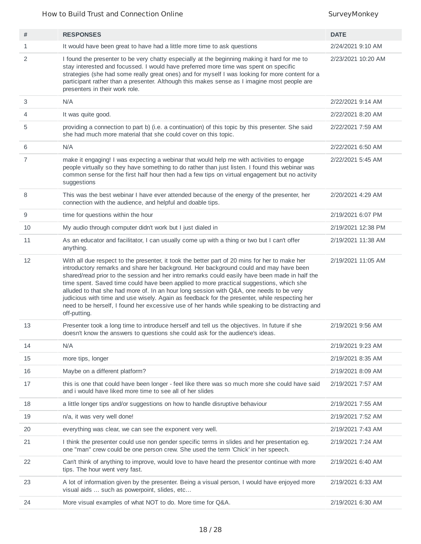## How to Build Trust and Connection Online SurveyMonkey

| #  | <b>RESPONSES</b>                                                                                                                                                                                                                                                                                                                                                                                                                                                                                                                                                                                                                                                                                   | <b>DATE</b>        |
|----|----------------------------------------------------------------------------------------------------------------------------------------------------------------------------------------------------------------------------------------------------------------------------------------------------------------------------------------------------------------------------------------------------------------------------------------------------------------------------------------------------------------------------------------------------------------------------------------------------------------------------------------------------------------------------------------------------|--------------------|
| 1  | It would have been great to have had a little more time to ask questions                                                                                                                                                                                                                                                                                                                                                                                                                                                                                                                                                                                                                           | 2/24/2021 9:10 AM  |
| 2  | I found the presenter to be very chatty especially at the beginning making it hard for me to<br>stay interested and focussed. I would have preferred more time was spent on specific<br>strategies (she had some really great ones) and for myself I was looking for more content for a<br>participant rather than a presenter. Although this makes sense as I imagine most people are<br>presenters in their work role.                                                                                                                                                                                                                                                                           | 2/23/2021 10:20 AM |
| 3  | N/A                                                                                                                                                                                                                                                                                                                                                                                                                                                                                                                                                                                                                                                                                                | 2/22/2021 9:14 AM  |
| 4  | It was quite good.                                                                                                                                                                                                                                                                                                                                                                                                                                                                                                                                                                                                                                                                                 | 2/22/2021 8:20 AM  |
| 5  | providing a connection to part b) (i.e. a continuation) of this topic by this presenter. She said<br>she had much more material that she could cover on this topic.                                                                                                                                                                                                                                                                                                                                                                                                                                                                                                                                | 2/22/2021 7:59 AM  |
| 6  | N/A                                                                                                                                                                                                                                                                                                                                                                                                                                                                                                                                                                                                                                                                                                | 2/22/2021 6:50 AM  |
| 7  | make it engaging! I was expecting a webinar that would help me with activities to engage<br>people virtually so they have something to do rather than just listen. I found this webinar was<br>common sense for the first half hour then had a few tips on virtual engagement but no activity<br>suggestions                                                                                                                                                                                                                                                                                                                                                                                       | 2/22/2021 5:45 AM  |
| 8  | This was the best webinar I have ever attended because of the energy of the presenter, her<br>connection with the audience, and helpful and doable tips.                                                                                                                                                                                                                                                                                                                                                                                                                                                                                                                                           | 2/20/2021 4:29 AM  |
| 9  | time for questions within the hour                                                                                                                                                                                                                                                                                                                                                                                                                                                                                                                                                                                                                                                                 | 2/19/2021 6:07 PM  |
| 10 | My audio through computer didn't work but I just dialed in                                                                                                                                                                                                                                                                                                                                                                                                                                                                                                                                                                                                                                         | 2/19/2021 12:38 PM |
| 11 | As an educator and facilitator, I can usually come up with a thing or two but I can't offer<br>anything.                                                                                                                                                                                                                                                                                                                                                                                                                                                                                                                                                                                           | 2/19/2021 11:38 AM |
| 12 | With all due respect to the presenter, it took the better part of 20 mins for her to make her<br>introductory remarks and share her background. Her background could and may have been<br>shared/read prior to the session and her intro remarks could easily have been made in half the<br>time spent. Saved time could have been applied to more practical suggestions, which she<br>alluded to that she had more of. In an hour long session with Q&A, one needs to be very<br>judicious with time and use wisely. Again as feedback for the presenter, while respecting her<br>need to be herself, I found her excessive use of her hands while speaking to be distracting and<br>off-putting. | 2/19/2021 11:05 AM |
| 13 | Presenter took a long time to introduce herself and tell us the objectives. In future if she<br>doesn't know the answers to questions she could ask for the audience's ideas.                                                                                                                                                                                                                                                                                                                                                                                                                                                                                                                      | 2/19/2021 9:56 AM  |
| 14 | N/A                                                                                                                                                                                                                                                                                                                                                                                                                                                                                                                                                                                                                                                                                                | 2/19/2021 9:23 AM  |
| 15 | more tips, longer                                                                                                                                                                                                                                                                                                                                                                                                                                                                                                                                                                                                                                                                                  | 2/19/2021 8:35 AM  |
| 16 | Maybe on a different platform?                                                                                                                                                                                                                                                                                                                                                                                                                                                                                                                                                                                                                                                                     | 2/19/2021 8:09 AM  |
| 17 | this is one that could have been longer - feel like there was so much more she could have said<br>and i would have liked more time to see all of her slides                                                                                                                                                                                                                                                                                                                                                                                                                                                                                                                                        | 2/19/2021 7:57 AM  |
| 18 | a little longer tips and/or suggestions on how to handle disruptive behaviour                                                                                                                                                                                                                                                                                                                                                                                                                                                                                                                                                                                                                      | 2/19/2021 7:55 AM  |
| 19 | n/a, it was very well done!                                                                                                                                                                                                                                                                                                                                                                                                                                                                                                                                                                                                                                                                        | 2/19/2021 7:52 AM  |
| 20 | everything was clear, we can see the exponent very well.                                                                                                                                                                                                                                                                                                                                                                                                                                                                                                                                                                                                                                           | 2/19/2021 7:43 AM  |
| 21 | I think the presenter could use non gender specific terms in slides and her presentation eg.<br>one "man" crew could be one person crew. She used the term 'Chick' in her speech.                                                                                                                                                                                                                                                                                                                                                                                                                                                                                                                  | 2/19/2021 7:24 AM  |
| 22 | Can't think of anything to improve, would love to have heard the presentor continue with more<br>tips. The hour went very fast.                                                                                                                                                                                                                                                                                                                                                                                                                                                                                                                                                                    | 2/19/2021 6:40 AM  |
| 23 | A lot of information given by the presenter. Being a visual person, I would have enjoyed more<br>visual aids  such as powerpoint, slides, etc                                                                                                                                                                                                                                                                                                                                                                                                                                                                                                                                                      | 2/19/2021 6:33 AM  |
| 24 | More visual examples of what NOT to do. More time for Q&A.                                                                                                                                                                                                                                                                                                                                                                                                                                                                                                                                                                                                                                         | 2/19/2021 6:30 AM  |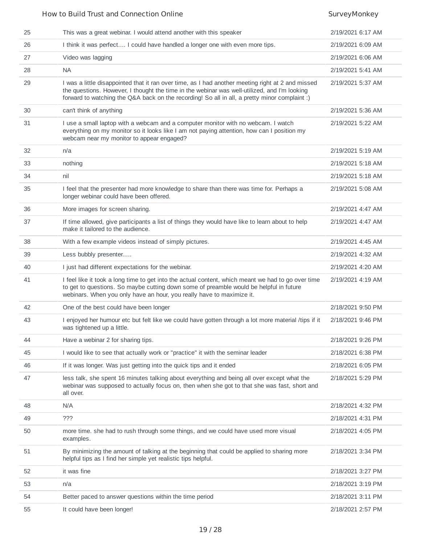### How to Build Trust and Connection Online SurveyMonkey SurveyMonkey 25 This was a great webinar. I would attend another with this speaker 2/19/2021 6:17 AM 26 I think it was perfect.... I could have handled a longer one with even more tips. 2/19/2021 6:09 AM 27 Video was lagging 2/19/2021 6:06 AM 28 NA 2/19/2021 5:41 AM 29 I was a little disappointed that it ran over time, as I had another meeting right at 2 and missed the questions. However, I thought the time in the webinar was well-utilized, and I'm looking forward to watching the Q&A back on the recording! So all in all, a pretty minor complaint :) 2/19/2021 5:37 AM 30 can't think of anything 2/19/2021 5:36 AM 31 I use a small laptop with a webcam and a computer monitor with no webcam. I watch everything on my monitor so it looks like I am not paying attention, how can I position my webcam near my monitor to appear engaged? 2/19/2021 5:22 AM 32 n/a 2/19/2021 5:19 AM 33 nothing 2/19/2021 5:18 AM 34 nil 2/19/2021 5:18 AM 35 I feel that the presenter had more knowledge to share than there was time for. Perhaps a longer webinar could have been offered. 2/19/2021 5:08 AM 36 More images for screen sharing. 2/19/2021 4:47 AM 37 If time allowed, give participants a list of things they would have like to learn about to help make it tailored to the audience. 2/19/2021 4:47 AM 38 With a few example videos instead of simply pictures. 2/19/2021 4:45 AM 39 Less bubbly presenter..... 2/19/2021 4:32 AM 40 I just had different expectations for the webinar. 2/19/2021 4:20 AM 41 I feel like it took a long time to get into the actual content, which meant we had to go over time to get to questions. So maybe cutting down some of preamble would be helpful in future webinars. When you only have an hour, you really have to maximize it. 2/19/2021 4:19 AM 42 One of the best could have been longer 2/18/2021 9:50 PM 43 I enjoyed her humour etc but felt like we could have gotten through a lot more material /tips if it was tightened up a little. 2/18/2021 9:46 PM 44 Have a webinar 2 for sharing tips. 2/18/2021 9:26 PM 45 I would like to see that actually work or "practice" it with the seminar leader 2/18/2021 6:38 PM 46 If it was longer. Was just getting into the quick tips and it ended 2/18/2021 6:05 PM 47 less talk, she spent 16 minutes talking about everything and being all over except what the webinar was supposed to actually focus on, then when she got to that she was fast, short and all over. 2/18/2021 5:29 PM 48 N/A 2/18/2021 4:32 PM 49 ??? 2/18/2021 4:31 PM 50 more time. she had to rush through some things, and we could have used more visual examples. 2/18/2021 4:05 PM 51 By minimizing the amount of talking at the beginning that could be applied to sharing more helpful tips as I find her simple yet realistic tips helpful. 2/18/2021 3:34 PM 52 it was fine 2/18/2021 3:27 PM 53 n/a 2/18/2021 3:19 PM 54 Better paced to answer questions within the time period 2/18/2021 3:11 PM

55 It could have been longer! 2/18/2021 2:57 PM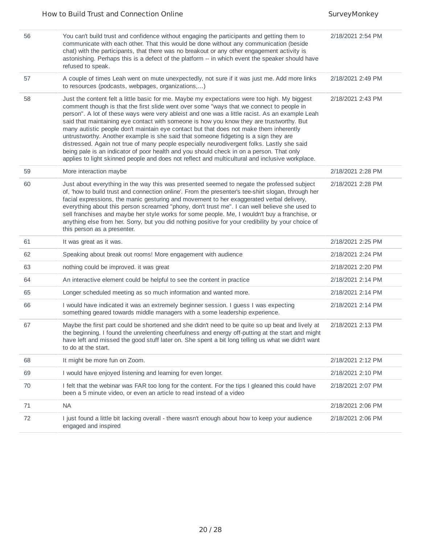| 56 | You can't build trust and confidence without engaging the participants and getting them to<br>communicate with each other. That this would be done without any communication (beside<br>chat) with the participants, that there was no breakout or any other engagement activity is<br>astonishing. Perhaps this is a defect of the platform -- in which event the speaker should have<br>refused to speak.                                                                                                                                                                                                                                                                                                                                                                                                                                                           | 2/18/2021 2:54 PM |
|----|-----------------------------------------------------------------------------------------------------------------------------------------------------------------------------------------------------------------------------------------------------------------------------------------------------------------------------------------------------------------------------------------------------------------------------------------------------------------------------------------------------------------------------------------------------------------------------------------------------------------------------------------------------------------------------------------------------------------------------------------------------------------------------------------------------------------------------------------------------------------------|-------------------|
| 57 | A couple of times Leah went on mute unexpectedly, not sure if it was just me. Add more links<br>to resources (podcasts, webpages, organizations,)                                                                                                                                                                                                                                                                                                                                                                                                                                                                                                                                                                                                                                                                                                                     | 2/18/2021 2:49 PM |
| 58 | Just the content felt a little basic for me. Maybe my expectations were too high. My biggest<br>comment though is that the first slide went over some "ways that we connect to people in<br>person". A lot of these ways were very ableist and one was a little racist. As an example Leah<br>said that maintaining eye contact with someone is how you know they are trustworthy. But<br>many autistic people don't maintain eye contact but that does not make them inherently<br>untrustworthy. Another example is she said that someone fidgeting is a sign they are<br>distressed. Again not true of many people especially neurodivergent folks. Lastly she said<br>being pale is an indicator of poor health and you should check in on a person. That only<br>applies to light skinned people and does not reflect and multicultural and inclusive workplace. | 2/18/2021 2:43 PM |
| 59 | More interaction maybe                                                                                                                                                                                                                                                                                                                                                                                                                                                                                                                                                                                                                                                                                                                                                                                                                                                | 2/18/2021 2:28 PM |
| 60 | Just about everything in the way this was presented seemed to negate the professed subject<br>of, 'how to build trust and connection online'. From the presenter's tee-shirt slogan, through her<br>facial expressions, the manic gesturing and movement to her exaggerated verbal delivery,<br>everything about this person screamed "phony, don't trust me". I can well believe she used to<br>sell franchises and maybe her style works for some people. Me, I wouldn't buy a franchise, or<br>anything else from her. Sorry, but you did nothing positive for your credibility by your choice of<br>this person as a presenter.                                                                                                                                                                                                                                   | 2/18/2021 2:28 PM |
| 61 | It was great as it was.                                                                                                                                                                                                                                                                                                                                                                                                                                                                                                                                                                                                                                                                                                                                                                                                                                               | 2/18/2021 2:25 PM |
| 62 | Speaking about break out rooms! More engagement with audience                                                                                                                                                                                                                                                                                                                                                                                                                                                                                                                                                                                                                                                                                                                                                                                                         | 2/18/2021 2:24 PM |
| 63 | nothing could be improved. it was great                                                                                                                                                                                                                                                                                                                                                                                                                                                                                                                                                                                                                                                                                                                                                                                                                               | 2/18/2021 2:20 PM |
| 64 | An interactive element could be helpful to see the content in practice                                                                                                                                                                                                                                                                                                                                                                                                                                                                                                                                                                                                                                                                                                                                                                                                | 2/18/2021 2:14 PM |
| 65 | Longer scheduled meeting as so much information and wanted more.                                                                                                                                                                                                                                                                                                                                                                                                                                                                                                                                                                                                                                                                                                                                                                                                      | 2/18/2021 2:14 PM |
| 66 | I would have indicated it was an extremely beginner session. I guess I was expecting<br>something geared towards middle managers with a some leadership experience.                                                                                                                                                                                                                                                                                                                                                                                                                                                                                                                                                                                                                                                                                                   | 2/18/2021 2:14 PM |
| 67 | Maybe the first part could be shortened and she didn't need to be quite so up beat and lively at<br>the beginning. I found the unrelenting cheerfulness and energy off-putting at the start and might<br>have left and missed the good stuff later on. She spent a bit long telling us what we didn't want<br>to do at the start.                                                                                                                                                                                                                                                                                                                                                                                                                                                                                                                                     | 2/18/2021 2:13 PM |
| 68 | It might be more fun on Zoom.                                                                                                                                                                                                                                                                                                                                                                                                                                                                                                                                                                                                                                                                                                                                                                                                                                         | 2/18/2021 2:12 PM |
| 69 | I would have enjoyed listening and learning for even longer.                                                                                                                                                                                                                                                                                                                                                                                                                                                                                                                                                                                                                                                                                                                                                                                                          | 2/18/2021 2:10 PM |
| 70 | I felt that the webinar was FAR too long for the content. For the tips I gleaned this could have<br>been a 5 minute video, or even an article to read instead of a video                                                                                                                                                                                                                                                                                                                                                                                                                                                                                                                                                                                                                                                                                              | 2/18/2021 2:07 PM |
| 71 | <b>NA</b>                                                                                                                                                                                                                                                                                                                                                                                                                                                                                                                                                                                                                                                                                                                                                                                                                                                             | 2/18/2021 2:06 PM |
| 72 | I just found a little bit lacking overall - there wasn't enough about how to keep your audience<br>engaged and inspired                                                                                                                                                                                                                                                                                                                                                                                                                                                                                                                                                                                                                                                                                                                                               | 2/18/2021 2:06 PM |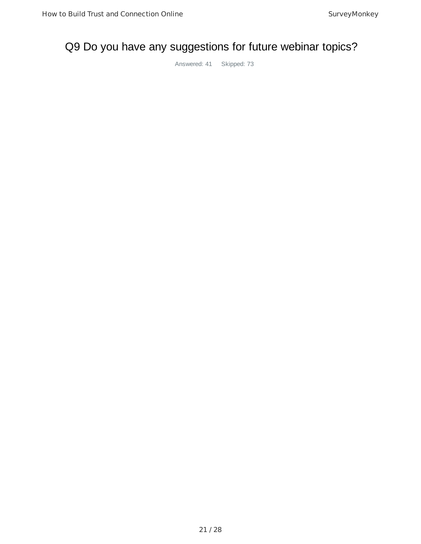## Q9 Do you have any suggestions for future webinar topics?

Answered: 41 Skipped: 73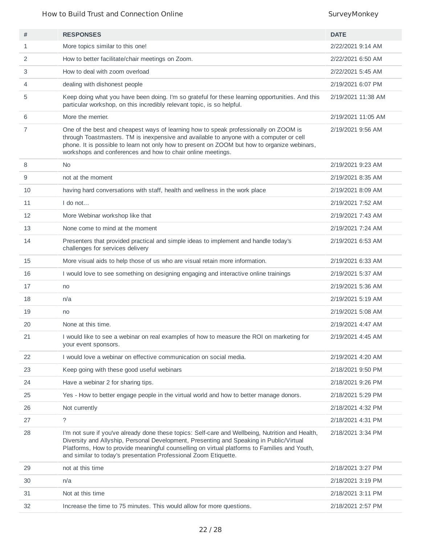## How to Build Trust and Connection Online SurveyMonkey

| #  | <b>RESPONSES</b>                                                                                                                                                                                                                                                                                                                                                | <b>DATE</b>        |
|----|-----------------------------------------------------------------------------------------------------------------------------------------------------------------------------------------------------------------------------------------------------------------------------------------------------------------------------------------------------------------|--------------------|
| 1  | More topics similar to this one!                                                                                                                                                                                                                                                                                                                                | 2/22/2021 9:14 AM  |
| 2  | How to better facilitate/chair meetings on Zoom.                                                                                                                                                                                                                                                                                                                | 2/22/2021 6:50 AM  |
| 3  | How to deal with zoom overload                                                                                                                                                                                                                                                                                                                                  | 2/22/2021 5:45 AM  |
| 4  | dealing with dishonest people                                                                                                                                                                                                                                                                                                                                   | 2/19/2021 6:07 PM  |
| 5  | Keep doing what you have been doing. I'm so grateful for these learning opportunities. And this<br>particular workshop, on this incredibly relevant topic, is so helpful.                                                                                                                                                                                       | 2/19/2021 11:38 AM |
| 6  | More the merrier.                                                                                                                                                                                                                                                                                                                                               | 2/19/2021 11:05 AM |
| 7  | One of the best and cheapest ways of learning how to speak professionally on ZOOM is<br>through Toastmasters. TM is inexpensive and available to anyone with a computer or cell<br>phone. It is possible to learn not only how to present on ZOOM but how to organize webinars,<br>workshops and conferences and how to chair online meetings.                  | 2/19/2021 9:56 AM  |
| 8  | <b>No</b>                                                                                                                                                                                                                                                                                                                                                       | 2/19/2021 9:23 AM  |
| 9  | not at the moment                                                                                                                                                                                                                                                                                                                                               | 2/19/2021 8:35 AM  |
| 10 | having hard conversations with staff, health and wellness in the work place                                                                                                                                                                                                                                                                                     | 2/19/2021 8:09 AM  |
| 11 | $I$ do not                                                                                                                                                                                                                                                                                                                                                      | 2/19/2021 7:52 AM  |
| 12 | More Webinar workshop like that                                                                                                                                                                                                                                                                                                                                 | 2/19/2021 7:43 AM  |
| 13 | None come to mind at the moment                                                                                                                                                                                                                                                                                                                                 | 2/19/2021 7:24 AM  |
| 14 | Presenters that provided practical and simple ideas to implement and handle today's<br>challenges for services delivery                                                                                                                                                                                                                                         | 2/19/2021 6:53 AM  |
| 15 | More visual aids to help those of us who are visual retain more information.                                                                                                                                                                                                                                                                                    | 2/19/2021 6:33 AM  |
| 16 | I would love to see something on designing engaging and interactive online trainings                                                                                                                                                                                                                                                                            | 2/19/2021 5:37 AM  |
| 17 | no                                                                                                                                                                                                                                                                                                                                                              | 2/19/2021 5:36 AM  |
| 18 | n/a                                                                                                                                                                                                                                                                                                                                                             | 2/19/2021 5:19 AM  |
| 19 | no                                                                                                                                                                                                                                                                                                                                                              | 2/19/2021 5:08 AM  |
| 20 | None at this time.                                                                                                                                                                                                                                                                                                                                              | 2/19/2021 4:47 AM  |
| 21 | I would like to see a webinar on real examples of how to measure the ROI on marketing for<br>your event sponsors.                                                                                                                                                                                                                                               | 2/19/2021 4:45 AM  |
| 22 | I would love a webinar on effective communication on social media.                                                                                                                                                                                                                                                                                              | 2/19/2021 4:20 AM  |
| 23 | Keep going with these good useful webinars                                                                                                                                                                                                                                                                                                                      | 2/18/2021 9:50 PM  |
| 24 | Have a webinar 2 for sharing tips.                                                                                                                                                                                                                                                                                                                              | 2/18/2021 9:26 PM  |
| 25 | Yes - How to better engage people in the virtual world and how to better manage donors.                                                                                                                                                                                                                                                                         | 2/18/2021 5:29 PM  |
| 26 | Not currently                                                                                                                                                                                                                                                                                                                                                   | 2/18/2021 4:32 PM  |
| 27 | $\tilde{?}$                                                                                                                                                                                                                                                                                                                                                     | 2/18/2021 4:31 PM  |
| 28 | I'm not sure if you've already done these topics: Self-care and Wellbeing, Nutrition and Health,<br>Diversity and Allyship, Personal Development, Presenting and Speaking in Public/Virtual<br>Platforms, How to provide meaningful counselling on virtual platforms to Families and Youth,<br>and similar to today's presentation Professional Zoom Etiquette. | 2/18/2021 3:34 PM  |
| 29 | not at this time                                                                                                                                                                                                                                                                                                                                                | 2/18/2021 3:27 PM  |
| 30 | n/a                                                                                                                                                                                                                                                                                                                                                             | 2/18/2021 3:19 PM  |
| 31 | Not at this time                                                                                                                                                                                                                                                                                                                                                | 2/18/2021 3:11 PM  |
| 32 | Increase the time to 75 minutes. This would allow for more questions.                                                                                                                                                                                                                                                                                           | 2/18/2021 2:57 PM  |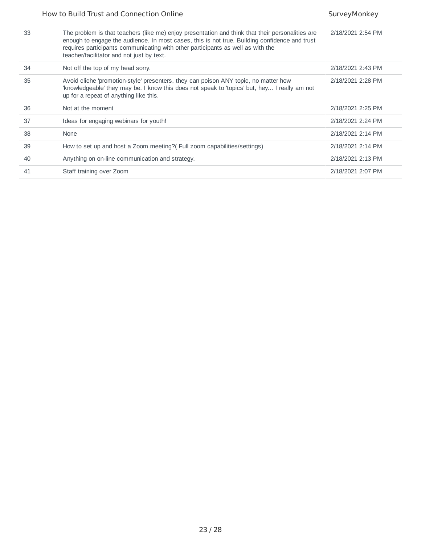|    | How to Build Trust and Connection Online                                                                                                                                                                                                                                                                                          | SurveyMonkey      |
|----|-----------------------------------------------------------------------------------------------------------------------------------------------------------------------------------------------------------------------------------------------------------------------------------------------------------------------------------|-------------------|
| 33 | The problem is that teachers (like me) enjoy presentation and think that their personalities are<br>enough to engage the audience. In most cases, this is not true. Building confidence and trust<br>requires participants communicating with other participants as well as with the<br>teacher/facilitator and not just by text. | 2/18/2021 2:54 PM |
| 34 | Not off the top of my head sorry.                                                                                                                                                                                                                                                                                                 | 2/18/2021 2:43 PM |
| 35 | Avoid cliche 'promotion-style' presenters, they can poison ANY topic, no matter how<br>'knowledgeable' they may be. I know this does not speak to 'topics' but, hey I really am not<br>up for a repeat of anything like this.                                                                                                     | 2/18/2021 2:28 PM |
| 36 | Not at the moment                                                                                                                                                                                                                                                                                                                 | 2/18/2021 2:25 PM |
| 37 | Ideas for engaging webinars for youth!                                                                                                                                                                                                                                                                                            | 2/18/2021 2:24 PM |
| 38 | None                                                                                                                                                                                                                                                                                                                              | 2/18/2021 2:14 PM |
| 39 | How to set up and host a Zoom meeting? (Full zoom capabilities/settings)                                                                                                                                                                                                                                                          | 2/18/2021 2:14 PM |
| 40 | Anything on on-line communication and strategy.                                                                                                                                                                                                                                                                                   | 2/18/2021 2:13 PM |
| 41 | Staff training over Zoom                                                                                                                                                                                                                                                                                                          | 2/18/2021 2:07 PM |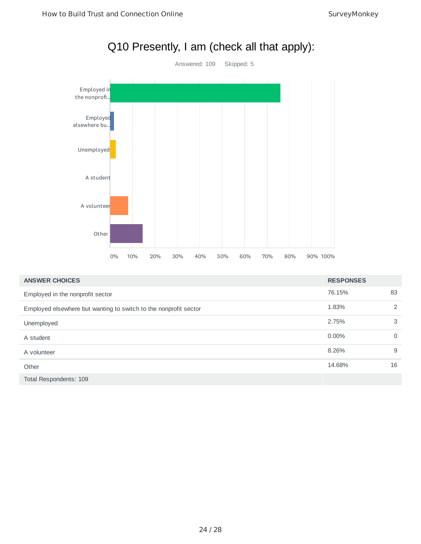

| <b>ANSWER CHOICES</b>                                            | <b>RESPONSES</b> |          |
|------------------------------------------------------------------|------------------|----------|
| Employed in the nonprofit sector                                 | 76.15%           | 83       |
| Employed elsewhere but wanting to switch to the nonprofit sector | 1.83%            | 2        |
| Unemployed                                                       | 2.75%            | 3        |
| A student                                                        | 0.00%            | $\Omega$ |
| A volunteer                                                      | 8.26%            | 9        |
| Other                                                            | 14.68%           | 16       |
| Total Respondents: 109                                           |                  |          |

## Q10 Presently, I am (check all that apply):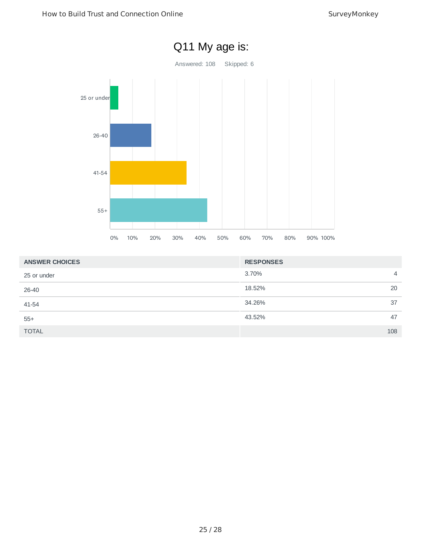

| <b>ANSWER CHOICES</b> | <b>RESPONSES</b> |                |
|-----------------------|------------------|----------------|
| 25 or under           | 3.70%            | $\overline{4}$ |
| 26-40                 | 18.52%           | 20             |
| 41-54                 | 34.26%           | 37             |
| $55+$                 | 43.52%           | 47             |
| <b>TOTAL</b>          |                  | 108            |

### 25 / 28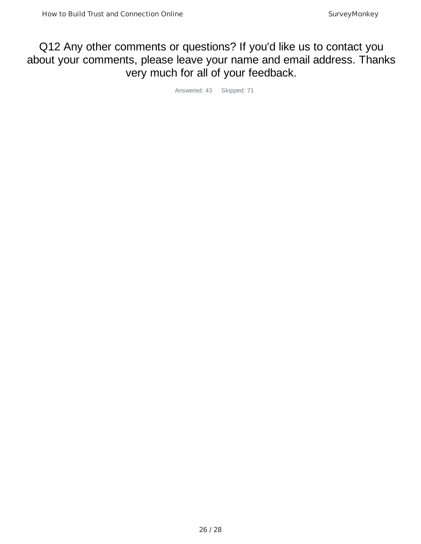## Q12 Any other comments or questions? If you'd like us to contact you about your comments, please leave your name and email address. Thanks very much for all of your feedback.

Answered: 43 Skipped: 71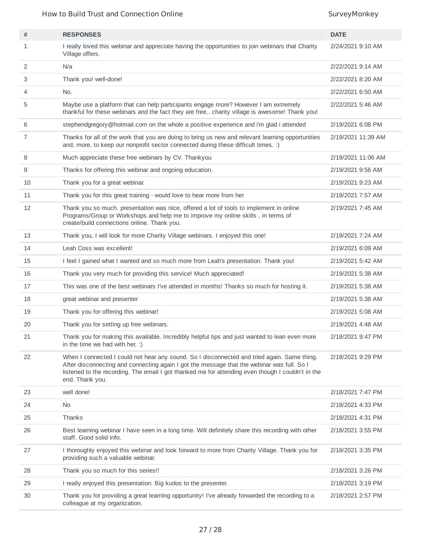How to Build Trust and Connection Online SurveyMonkey

| #  | <b>RESPONSES</b>                                                                                                                                                                                                                                                                                                  | <b>DATE</b>        |
|----|-------------------------------------------------------------------------------------------------------------------------------------------------------------------------------------------------------------------------------------------------------------------------------------------------------------------|--------------------|
| 1  | I really loved this webinar and appreciate having the opportunities to join webinars that Charity<br>Village offers.                                                                                                                                                                                              | 2/24/2021 9:10 AM  |
| 2  | N/a                                                                                                                                                                                                                                                                                                               | 2/22/2021 9:14 AM  |
| 3  | Thank you! well-done!                                                                                                                                                                                                                                                                                             | 2/22/2021 8:20 AM  |
| 4  | No.                                                                                                                                                                                                                                                                                                               | 2/22/2021 6:50 AM  |
| 5  | Maybe use a platform that can help participants engage more? However I am extremely<br>thankful for these webinars and the fact they are free charity village is awesome! Thank you!                                                                                                                              | 2/22/2021 5:46 AM  |
| 6  | stephendgregory@hotmail.com on the whole a positive experience and i'm glad i attended                                                                                                                                                                                                                            | 2/19/2021 6:08 PM  |
| 7  | Thanks for all of the work that you are doing to bring us new and relevant learning opportunities<br>and, more, to keep our nonprofit sector connected during these difficult times. :)                                                                                                                           | 2/19/2021 11:39 AM |
| 8  | Much appreciate these free webinars by CV. Thankyou                                                                                                                                                                                                                                                               | 2/19/2021 11:06 AM |
| 9  | Thanks for offering this webinar and ongoing education.                                                                                                                                                                                                                                                           | 2/19/2021 9:56 AM  |
| 10 | Thank you for a great webinar.                                                                                                                                                                                                                                                                                    | 2/19/2021 9:23 AM  |
| 11 | Thank you for this great training - would love to hear more from her                                                                                                                                                                                                                                              | 2/19/2021 7:57 AM  |
| 12 | Thank you so much. presentation was nice, offered a lot of tools to implement in online<br>Programs/Group or Workshops and help me to improve my online skills, in terms of<br>create/build connections online. Thank you.                                                                                        | 2/19/2021 7:45 AM  |
| 13 | Thank you, I will look for more Charity Village webinars. I enjoyed this one!                                                                                                                                                                                                                                     | 2/19/2021 7:24 AM  |
| 14 | Leah Coss was excellent!                                                                                                                                                                                                                                                                                          | 2/19/2021 6:09 AM  |
| 15 | I feel I gained what I wanted and so much more from Leah's presentation. Thank you!                                                                                                                                                                                                                               | 2/19/2021 5:42 AM  |
| 16 | Thank you very much for providing this service! Much appreciated!                                                                                                                                                                                                                                                 | 2/19/2021 5:38 AM  |
| 17 | This was one of the best webinars I've attended in months! Thanks so much for hosting it.                                                                                                                                                                                                                         | 2/19/2021 5:38 AM  |
| 18 | great webinar and presenter                                                                                                                                                                                                                                                                                       | 2/19/2021 5:38 AM  |
| 19 | Thank you for offering this webinar!                                                                                                                                                                                                                                                                              | 2/19/2021 5:08 AM  |
| 20 | Thank you for setting up free webinars.                                                                                                                                                                                                                                                                           | 2/19/2021 4:48 AM  |
| 21 | Thank you for making this available. Incredibly helpful tips and just wanted to lean even more<br>in the time we had with her. :)                                                                                                                                                                                 | 2/18/2021 9:47 PM  |
| 22 | When I connected I could not hear any sound. So I disconnected and tried again. Same thing.<br>After disconnecting and connecting again I got the message that the webinar was full. So I<br>listened to the recording. The email I got thanked me for attending even though I couldn't in the<br>end. Thank you. | 2/18/2021 9:29 PM  |
| 23 | well done!                                                                                                                                                                                                                                                                                                        | 2/18/2021 7:47 PM  |
| 24 | No                                                                                                                                                                                                                                                                                                                | 2/18/2021 4:33 PM  |
| 25 | Thanks                                                                                                                                                                                                                                                                                                            | 2/18/2021 4:31 PM  |
| 26 | Best learning webinar I have seen in a long time. Will definitely share this recording with other<br>staff. Good solid info.                                                                                                                                                                                      | 2/18/2021 3:55 PM  |
| 27 | I thoroughly enjoyed this webinar and look forward to more from Charity Village. Thank you for<br>providing such a valuable webinar.                                                                                                                                                                              | 2/18/2021 3:35 PM  |
| 28 | Thank you so much for this series!!                                                                                                                                                                                                                                                                               | 2/18/2021 3:26 PM  |
| 29 | I really enjoyed this presentation. Big kudos to the presenter.                                                                                                                                                                                                                                                   | 2/18/2021 3:19 PM  |
| 30 | Thank you for providing a great learning opportunity! I've already forwarded the recording to a<br>colleague at my organization.                                                                                                                                                                                  | 2/18/2021 2:57 PM  |